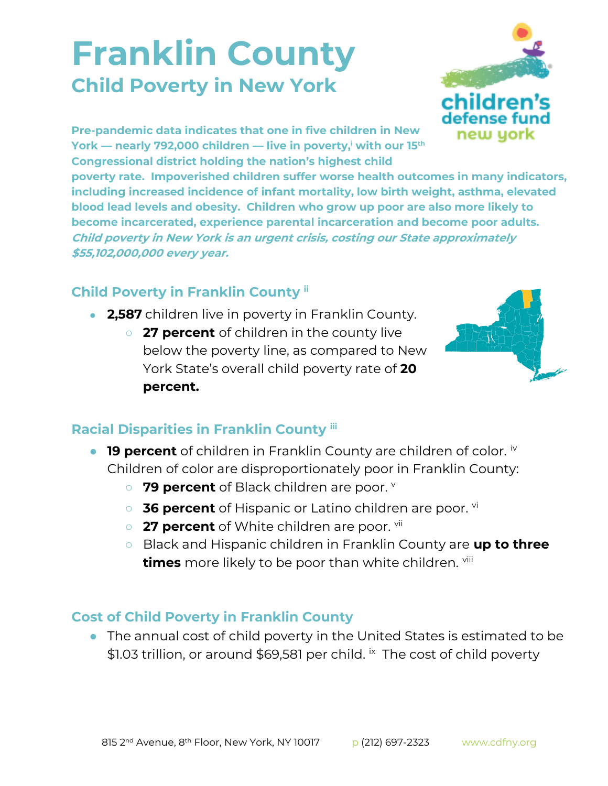## **Franklin County Child Poverty in New York**



**Pre-pandemic data indicates that one in five children in New York — nearly 792,000 children — live in poverty,<sup>i</sup> with our 15th Congressional district holding the nation's highest child** 

**poverty rate. Impoverished children suffer worse health outcomes in many indicators, including increased incidence of infant mortality, low birth weight, asthma, elevated blood lead levels and obesity. Children who grow up poor are also more likely to become incarcerated, experience parental incarceration and become poor adults. Child poverty in New York is an urgent crisis, costing our State approximately \$55,102,000,000 every year.**

## **Child Poverty in Franklin County ii**

- **2,587** children live in poverty in Franklin County.
	- **27 percent** of children in the county live below the poverty line, as compared to New York State's overall child poverty rate of **20 percent.**



## **Racial Disparities in Franklin County iii**

- **19 percent** of children in Franklin County are children of color. iv Children of color are disproportionately poor in Franklin County:
	- 79 percent of Black children are poor. **V**
	- **36 percent** of Hispanic or Latino children are poor. <sup>vi</sup>
	- **27 percent** of White children are poor. <sup>vii</sup>
	- Black and Hispanic children in Franklin County are **up to three times** more likely to be poor than white children. viii

## **Cost of Child Poverty in Franklin County**

● The annual cost of child poverty in the United States is estimated to be \$1.03 trillion, or around \$69,581 per child. *i*x The cost of child poverty